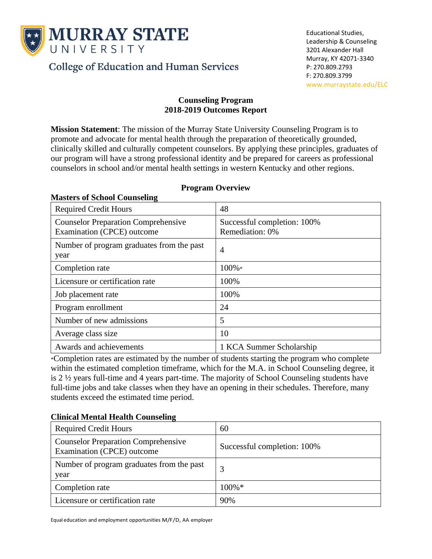

**Masters of School Counseling**

**College of Education and Human Services** 

## **Counseling Program 2018-2019 Outcomes Report**

**Mission Statement**: The mission of the Murray State University Counseling Program is to promote and advocate for mental health through the preparation of theoretically grounded, clinically skilled and culturally competent counselors. By applying these principles, graduates of our program will have a strong professional identity and be prepared for careers as professional counselors in school and/or mental health settings in western Kentucky and other regions.

| <b>Required Credit Hours</b>                                             | 48                                             |  |
|--------------------------------------------------------------------------|------------------------------------------------|--|
| <b>Counselor Preparation Comprehensive</b><br>Examination (CPCE) outcome | Successful completion: 100%<br>Remediation: 0% |  |
| Number of program graduates from the past<br>year                        | 4                                              |  |
| Completion rate                                                          | 100%*                                          |  |
| Licensure or certification rate                                          | 100%                                           |  |
| Job placement rate                                                       | 100%                                           |  |
| Program enrollment                                                       | 24                                             |  |
| Number of new admissions                                                 | 5                                              |  |
| Average class size                                                       | 10                                             |  |
| Awards and achievements                                                  | 1 KCA Summer Scholarship                       |  |

## **Program Overview**

\*Completion rates are estimated by the number of students starting the program who complete within the estimated completion timeframe, which for the M.A. in School Counseling degree, it is 2 ½ years full-time and 4 years part-time. The majority of School Counseling students have full-time jobs and take classes when they have an opening in their schedules. Therefore, many students exceed the estimated time period.

# **Clinical Mental Health Counseling**

| <b>Required Credit Hours</b>                                             | 60                          |
|--------------------------------------------------------------------------|-----------------------------|
| <b>Counselor Preparation Comprehensive</b><br>Examination (CPCE) outcome | Successful completion: 100% |
| Number of program graduates from the past<br>year                        |                             |
| Completion rate                                                          | $100\% *$                   |
| Licensure or certification rate                                          | 90%                         |

Equal education and employment opportunities M/F/D, AA employer